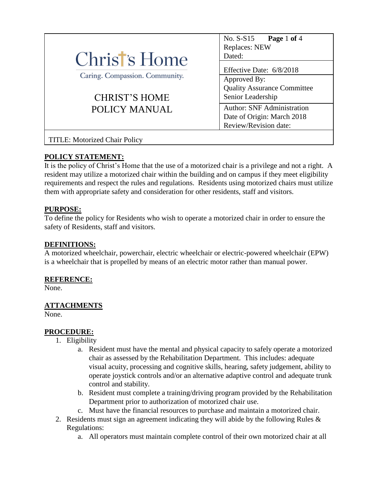|                                      | No. S-S15<br>Page 1 of 4           |
|--------------------------------------|------------------------------------|
|                                      | Replaces: NEW                      |
| Christ's Home                        | Dated:                             |
|                                      | Effective Date: 6/8/2018           |
| Caring. Compassion. Community.       | Approved By:                       |
|                                      | <b>Quality Assurance Committee</b> |
| <b>CHRIST'S HOME</b>                 | Senior Leadership                  |
| POLICY MANUAL                        | <b>Author: SNF Administration</b>  |
|                                      | Date of Origin: March 2018         |
|                                      | Review/Revision date:              |
| <b>TITLE: Motorized Chair Policy</b> |                                    |

# **POLICY STATEMENT:**

It is the policy of Christ's Home that the use of a motorized chair is a privilege and not a right. A resident may utilize a motorized chair within the building and on campus if they meet eligibility requirements and respect the rules and regulations. Residents using motorized chairs must utilize them with appropriate safety and consideration for other residents, staff and visitors.

### **PURPOSE:**

To define the policy for Residents who wish to operate a motorized chair in order to ensure the safety of Residents, staff and visitors.

#### **DEFINITIONS:**

A motorized wheelchair, powerchair, electric wheelchair or electric-powered wheelchair (EPW) is a wheelchair that is propelled by means of an electric motor rather than manual power.

### **REFERENCE:**

None.

### **ATTACHMENTS**

None.

#### **PROCEDURE:**

- 1. Eligibility
	- a. Resident must have the mental and physical capacity to safely operate a motorized chair as assessed by the Rehabilitation Department. This includes: adequate visual acuity, processing and cognitive skills, hearing, safety judgement, ability to operate joystick controls and/or an alternative adaptive control and adequate trunk control and stability.
	- b. Resident must complete a training/driving program provided by the Rehabilitation Department prior to authorization of motorized chair use.
	- c. Must have the financial resources to purchase and maintain a motorized chair.
- 2. Residents must sign an agreement indicating they will abide by the following Rules  $\&$ Regulations:
	- a. All operators must maintain complete control of their own motorized chair at all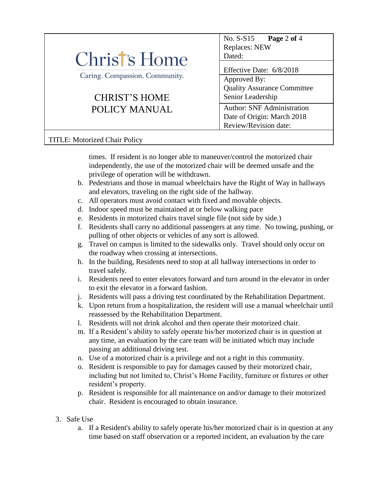|                                | No. $S-S15$ Page 2 of 4            |
|--------------------------------|------------------------------------|
|                                | Replaces: NEW                      |
| Christ's Home                  | Dated:                             |
|                                | Effective Date: 6/8/2018           |
| Caring. Compassion. Community. | Approved By:                       |
|                                | <b>Quality Assurance Committee</b> |
| <b>CHRIST'S HOME</b>           | Senior Leadership                  |
| POLICY MANUAL                  | <b>Author: SNF Administration</b>  |
|                                | Date of Origin: March 2018         |
|                                | Review/Revision date:              |

## TITLE: Motorized Chair Policy

times. If resident is no longer able to maneuver/control the motorized chair independently, the use of the motorized chair will be deemed unsafe and the privilege of operation will be withdrawn.

- b. Pedestrians and those in manual wheelchairs have the Right of Way in hallways and elevators, traveling on the right side of the hallway.
- c. All operators must avoid contact with fixed and movable objects.
- d. Indoor speed must be maintained at or below walking pace
- e. Residents in motorized chairs travel single file (not side by side.)
- f. Residents shall carry no additional passengers at any time. No towing, pushing, or pulling of other objects or vehicles of any sort is allowed.
- g. Travel on campus is limited to the sidewalks only. Travel should only occur on the roadway when crossing at intersections.
- h. In the building, Residents need to stop at all hallway intersections in order to travel safely.
- i. Residents need to enter elevators forward and turn around in the elevator in order to exit the elevator in a forward fashion.
- j. Residents will pass a driving test coordinated by the Rehabilitation Department.
- k. Upon return from a hospitalization, the resident will use a manual wheelchair until reassessed by the Rehabilitation Department.
- l. Residents will not drink alcohol and then operate their motorized chair.
- m. If a Resident's ability to safely operate his/her motorized chair is in question at any time, an evaluation by the care team will be initiated which may include passing an additional driving test.
- n. Use of a motorized chair is a privilege and not a right in this community.
- o. Resident is responsible to pay for damages caused by their motorized chair, including but not limited to, Christ's Home Facility, furniture or fixtures or other resident's property.
- p. Resident is responsible for all maintenance on and/or damage to their motorized chair. Resident is encouraged to obtain insurance.
- 3. Safe Use
	- a. If a Resident's ability to safely operate his/her motorized chair is in question at any time based on staff observation or a reported incident, an evaluation by the care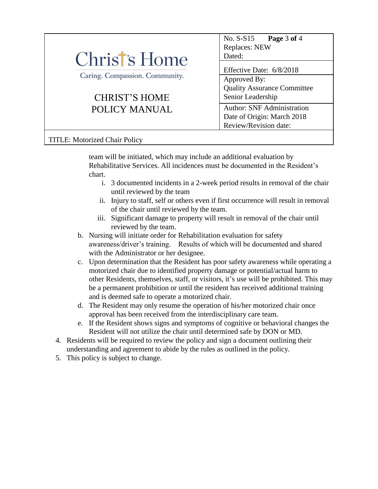

### TITLE: Motorized Chair Policy

team will be initiated, which may include an additional evaluation by Rehabilitative Services. All incidences must be documented in the Resident's chart.

- i. 3 documented incidents in a 2-week period results in removal of the chair until reviewed by the team
- ii. Injury to staff, self or others even if first occurrence will result in removal of the chair until reviewed by the team.
- iii. Significant damage to property will result in removal of the chair until reviewed by the team.
- b. Nursing will initiate order for Rehabilitation evaluation for safety awareness/driver's training. Results of which will be documented and shared with the Administrator or her designee.
- c. Upon determination that the Resident has poor safety awareness while operating a motorized chair due to identified property damage or potential/actual harm to other Residents, themselves, staff, or visitors, it's use will be prohibited. This may be a permanent prohibition or until the resident has received additional training and is deemed safe to operate a motorized chair.
- d. The Resident may only resume the operation of his/her motorized chair once approval has been received from the interdisciplinary care team.
- e. If the Resident shows signs and symptoms of cognitive or behavioral changes the Resident will not utilize the chair until determined safe by DON or MD.
- 4. Residents will be required to review the policy and sign a document outlining their understanding and agreement to abide by the rules as outlined in the policy.
- 5. This policy is subject to change.